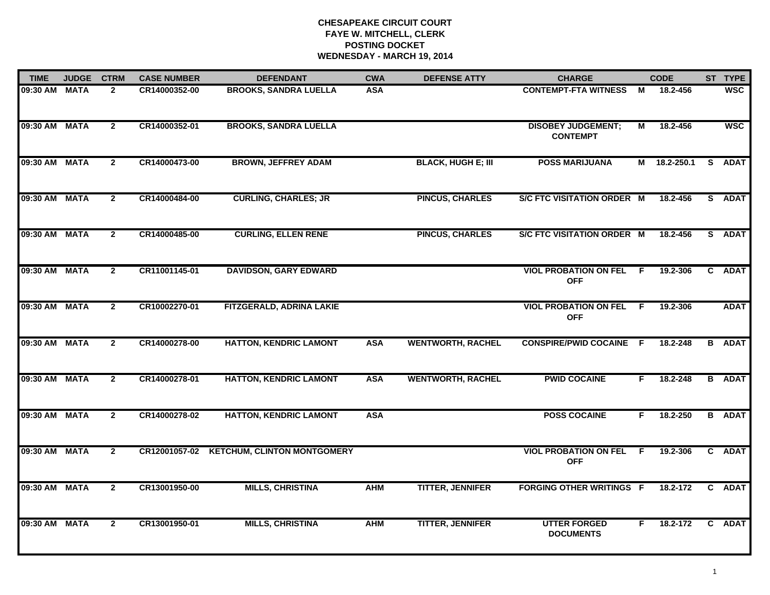# **CHESAPEAKE CIRCUIT COURT FAYE W. MITCHELL, CLERK POSTING DOCKET WEDNESDAY - MARCH 19, 2014**

| <b>TIME</b>   | <b>JUDGE</b> | <b>CTRM</b>    | <b>CASE NUMBER</b> | <b>DEFENDANT</b>                          | <b>CWA</b> | <b>DEFENSE ATTY</b>       | <b>CHARGE</b>                                |     | <b>CODE</b>  | ST TYPE       |
|---------------|--------------|----------------|--------------------|-------------------------------------------|------------|---------------------------|----------------------------------------------|-----|--------------|---------------|
| 09:30 AM MATA |              | $\mathbf{2}$   | CR14000352-00      | <b>BROOKS, SANDRA LUELLA</b>              | <b>ASA</b> |                           | <b>CONTEMPT-FTA WITNESS</b>                  | M   | 18.2-456     | <b>WSC</b>    |
| 09:30 AM MATA |              | $\overline{2}$ | CR14000352-01      | <b>BROOKS, SANDRA LUELLA</b>              |            |                           | <b>DISOBEY JUDGEMENT;</b><br><b>CONTEMPT</b> | М   | 18.2-456     | <b>WSC</b>    |
| 09:30 AM MATA |              | $\overline{2}$ | CR14000473-00      | <b>BROWN, JEFFREY ADAM</b>                |            | <b>BLACK, HUGH E; III</b> | <b>POSS MARIJUANA</b>                        |     | M 18.2-250.1 | S ADAT        |
| 09:30 AM MATA |              | $\mathbf{2}$   | CR14000484-00      | <b>CURLING, CHARLES; JR</b>               |            | <b>PINCUS, CHARLES</b>    | S/C FTC VISITATION ORDER M                   |     | 18.2-456     | S ADAT        |
| 09:30 AM MATA |              | $\overline{2}$ | CR14000485-00      | <b>CURLING, ELLEN RENE</b>                |            | <b>PINCUS, CHARLES</b>    | S/C FTC VISITATION ORDER M                   |     | 18.2-456     | S ADAT        |
| 09:30 AM MATA |              | $\overline{2}$ | CR11001145-01      | <b>DAVIDSON, GARY EDWARD</b>              |            |                           | <b>VIOL PROBATION ON FEL F</b><br><b>OFF</b> |     | 19.2-306     | C ADAT        |
| 09:30 AM MATA |              | $\overline{2}$ | CR10002270-01      | FITZGERALD, ADRINA LAKIE                  |            |                           | <b>VIOL PROBATION ON FEL</b><br><b>OFF</b>   | - F | 19.2-306     | <b>ADAT</b>   |
| 09:30 AM MATA |              | $\mathbf{2}$   | CR14000278-00      | <b>HATTON, KENDRIC LAMONT</b>             | <b>ASA</b> | <b>WENTWORTH, RACHEL</b>  | <b>CONSPIRE/PWID COCAINE F</b>               |     | 18.2-248     | <b>B</b> ADAT |
| 09:30 AM MATA |              | $\overline{2}$ | CR14000278-01      | <b>HATTON, KENDRIC LAMONT</b>             | <b>ASA</b> | <b>WENTWORTH, RACHEL</b>  | <b>PWID COCAINE</b>                          | F.  | 18.2-248     | <b>B</b> ADAT |
| 09:30 AM MATA |              | $\mathbf{2}$   | CR14000278-02      | <b>HATTON, KENDRIC LAMONT</b>             | <b>ASA</b> |                           | <b>POSS COCAINE</b>                          | F.  | 18.2-250     | <b>B</b> ADAT |
| 09:30 AM MATA |              | $\mathbf{2}$   |                    | CR12001057-02 KETCHUM, CLINTON MONTGOMERY |            |                           | <b>VIOL PROBATION ON FEL</b><br><b>OFF</b>   | - F | 19.2-306     | C ADAT        |
| 09:30 AM MATA |              | $\overline{2}$ | CR13001950-00      | <b>MILLS, CHRISTINA</b>                   | <b>AHM</b> | <b>TITTER, JENNIFER</b>   | <b>FORGING OTHER WRITINGS F</b>              |     | 18.2-172     | C ADAT        |
| 09:30 AM MATA |              | $\overline{2}$ | CR13001950-01      | <b>MILLS, CHRISTINA</b>                   | <b>AHM</b> | <b>TITTER, JENNIFER</b>   | <b>UTTER FORGED</b><br><b>DOCUMENTS</b>      | F.  | 18.2-172     | C ADAT        |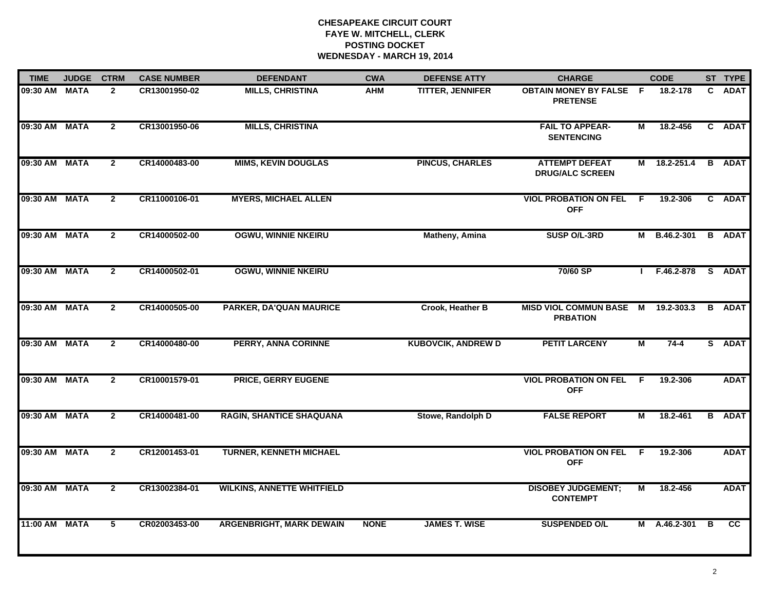# **CHESAPEAKE CIRCUIT COURT FAYE W. MITCHELL, CLERK POSTING DOCKET WEDNESDAY - MARCH 19, 2014**

| <b>TIME</b>   | <b>JUDGE</b> | <b>CTRM</b>    | <b>CASE NUMBER</b> | <b>DEFENDANT</b>                  | <b>CWA</b>  | <b>DEFENSE ATTY</b>       | <b>CHARGE</b>                                     |                | <b>CODE</b>  |    | ST TYPE       |
|---------------|--------------|----------------|--------------------|-----------------------------------|-------------|---------------------------|---------------------------------------------------|----------------|--------------|----|---------------|
| 09:30 AM      | <b>MATA</b>  | $\mathbf{2}$   | CR13001950-02      | <b>MILLS, CHRISTINA</b>           | AHM         | <b>TITTER, JENNIFER</b>   | <b>OBTAIN MONEY BY FALSE F</b><br><b>PRETENSE</b> |                | 18.2-178     | C. | <b>ADAT</b>   |
| 09:30 AM      | <b>MATA</b>  | $\overline{2}$ | CR13001950-06      | <b>MILLS, CHRISTINA</b>           |             |                           | <b>FAIL TO APPEAR-</b><br><b>SENTENCING</b>       | М              | 18.2-456     |    | C ADAT        |
| 09:30 AM MATA |              | $\overline{2}$ | CR14000483-00      | <b>MIMS, KEVIN DOUGLAS</b>        |             | <b>PINCUS, CHARLES</b>    | <b>ATTEMPT DEFEAT</b><br><b>DRUG/ALC SCREEN</b>   |                | M 18.2-251.4 |    | <b>B</b> ADAT |
| 09:30 AM      | <b>MATA</b>  | $\mathbf{2}$   | CR11000106-01      | <b>MYERS, MICHAEL ALLEN</b>       |             |                           | <b>VIOL PROBATION ON FEL</b><br><b>OFF</b>        | - F            | 19.2-306     |    | C ADAT        |
| 09:30 AM      | <b>MATA</b>  | $\mathbf{2}$   | CR14000502-00      | <b>OGWU, WINNIE NKEIRU</b>        |             | <b>Matheny, Amina</b>     | SUSP O/L-3RD                                      |                | M B.46.2-301 |    | <b>B</b> ADAT |
| 09:30 AM      | <b>MATA</b>  | $\mathbf{2}$   | CR14000502-01      | <b>OGWU, WINNIE NKEIRU</b>        |             |                           | 70/60 SP                                          |                | F.46.2-878   |    | S ADAT        |
| 09:30 AM      | <b>MATA</b>  | $\overline{2}$ | CR14000505-00      | PARKER, DA'QUAN MAURICE           |             | Crook, Heather B          | <b>MISD VIOL COMMUN BASE</b><br><b>PRBATION</b>   | $\overline{M}$ | 19.2-303.3   |    | <b>B</b> ADAT |
| 09:30 AM      | <b>MATA</b>  | $\mathbf{2}$   | CR14000480-00      | <b>PERRY, ANNA CORINNE</b>        |             | <b>KUBOVCIK, ANDREW D</b> | <b>PETIT LARCENY</b>                              | $\overline{M}$ | $74 - 4$     |    | S ADAT        |
| 09:30 AM      | <b>MATA</b>  | $\overline{2}$ | CR10001579-01      | <b>PRICE, GERRY EUGENE</b>        |             |                           | <b>VIOL PROBATION ON FEL</b><br><b>OFF</b>        | -F.            | 19.2-306     |    | <b>ADAT</b>   |
| 09:30 AM MATA |              | $\mathbf{2}$   | CR14000481-00      | <b>RAGIN, SHANTICE SHAQUANA</b>   |             | Stowe, Randolph D         | <b>FALSE REPORT</b>                               | М              | 18.2-461     |    | <b>B</b> ADAT |
| 09:30 AM MATA |              | $\overline{2}$ | CR12001453-01      | <b>TURNER, KENNETH MICHAEL</b>    |             |                           | <b>VIOL PROBATION ON FEL F</b><br><b>OFF</b>      |                | 19.2-306     |    | <b>ADAT</b>   |
| 09:30 AM      | <b>MATA</b>  | $\overline{2}$ | CR13002384-01      | <b>WILKINS, ANNETTE WHITFIELD</b> |             |                           | <b>DISOBEY JUDGEMENT;</b><br><b>CONTEMPT</b>      | $\overline{M}$ | 18.2-456     |    | <b>ADAT</b>   |
| 11:00 AM      | <b>MATA</b>  | 5              | CR02003453-00      | <b>ARGENBRIGHT, MARK DEWAIN</b>   | <b>NONE</b> | <b>JAMES T. WISE</b>      | <b>SUSPENDED O/L</b>                              |                | M A.46.2-301 | B  | <b>CC</b>     |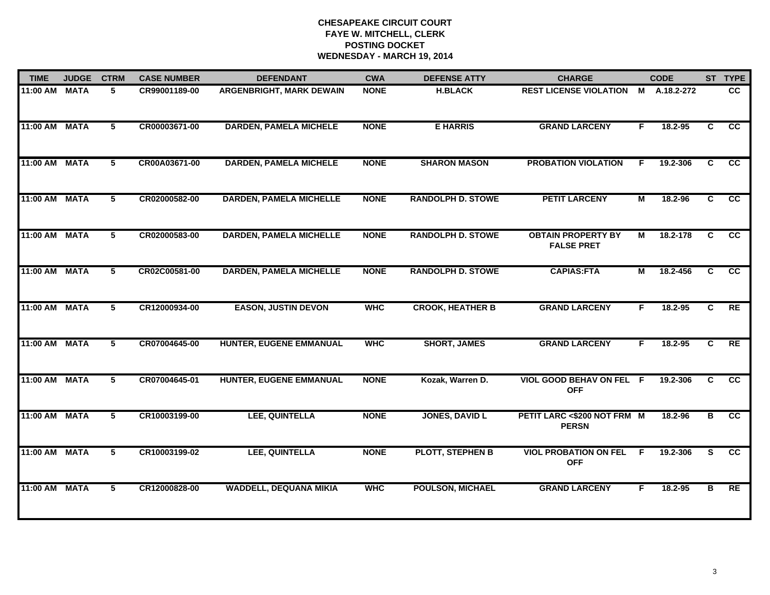# **CHESAPEAKE CIRCUIT COURT FAYE W. MITCHELL, CLERK POSTING DOCKET WEDNESDAY - MARCH 19, 2014**

| <b>TIME</b>   | <b>JUDGE</b> |   | <b>CASE NUMBER</b> | <b>DEFENDANT</b>                | <b>CWA</b>  | <b>DEFENSE ATTY</b>      | <b>CHARGE</b>                                  |    | <b>CODE</b> |                | ST TYPE         |
|---------------|--------------|---|--------------------|---------------------------------|-------------|--------------------------|------------------------------------------------|----|-------------|----------------|-----------------|
| 11:00 AM      | <b>MATA</b>  | 5 | CR99001189-00      | <b>ARGENBRIGHT, MARK DEWAIN</b> | <b>NONE</b> | <b>H.BLACK</b>           | <b>REST LICENSE VIOLATION</b>                  | М  | A.18.2-272  |                | cc              |
| 11:00 AM MATA |              | 5 | CR00003671-00      | <b>DARDEN, PAMELA MICHELE</b>   | <b>NONE</b> | <b>E HARRIS</b>          | <b>GRAND LARCENY</b>                           | F. | 18.2-95     | $\overline{c}$ | cc              |
| 11:00 AM MATA |              | 5 | CR00A03671-00      | <b>DARDEN, PAMELA MICHELE</b>   | <b>NONE</b> | <b>SHARON MASON</b>      | <b>PROBATION VIOLATION</b>                     | F. | 19.2-306    | C              | <b>CC</b>       |
| 11:00 AM MATA |              | 5 | CR02000582-00      | <b>DARDEN, PAMELA MICHELLE</b>  | <b>NONE</b> | <b>RANDOLPH D. STOWE</b> | <b>PETIT LARCENY</b>                           | М  | 18.2-96     | C.             | <b>CC</b>       |
| 11:00 AM MATA |              | 5 | CR02000583-00      | <b>DARDEN, PAMELA MICHELLE</b>  | <b>NONE</b> | <b>RANDOLPH D. STOWE</b> | <b>OBTAIN PROPERTY BY</b><br><b>FALSE PRET</b> | М  | 18.2-178    | C              | $\overline{cc}$ |
| 11:00 AM MATA |              | 5 | CR02C00581-00      | <b>DARDEN, PAMELA MICHELLE</b>  | <b>NONE</b> | <b>RANDOLPH D. STOWE</b> | <b>CAPIAS:FTA</b>                              | М  | 18.2-456    | C              | cc              |
| 11:00 AM MATA |              | 5 | CR12000934-00      | <b>EASON, JUSTIN DEVON</b>      | <b>WHC</b>  | <b>CROOK, HEATHER B</b>  | <b>GRAND LARCENY</b>                           | F. | 18.2-95     | C              | RE              |
| 11:00 AM MATA |              | 5 | CR07004645-00      | <b>HUNTER, EUGENE EMMANUAL</b>  | <b>WHC</b>  | <b>SHORT, JAMES</b>      | <b>GRAND LARCENY</b>                           | F. | 18.2-95     | C              | RE              |
| 11:00 AM MATA |              | 5 | CR07004645-01      | HUNTER, EUGENE EMMANUAL         | <b>NONE</b> | Kozak, Warren D.         | <b>VIOL GOOD BEHAV ON FEL F</b><br><b>OFF</b>  |    | 19.2-306    | C.             | $\overline{cc}$ |
| 11:00 AM MATA |              | 5 | CR10003199-00      | LEE, QUINTELLA                  | <b>NONE</b> | <b>JONES, DAVID L</b>    | PETIT LARC <\$200 NOT FRM M<br><b>PERSN</b>    |    | 18.2-96     | в              | cc              |
| 11:00 AM MATA |              | 5 | CR10003199-02      | LEE, QUINTELLA                  | <b>NONE</b> | <b>PLOTT, STEPHEN B</b>  | <b>VIOL PROBATION ON FEL</b><br><b>OFF</b>     | F. | 19.2-306    | S.             | $\overline{cc}$ |
| 11:00 AM MATA |              | 5 | CR12000828-00      | <b>WADDELL, DEQUANA MIKIA</b>   | <b>WHC</b>  | <b>POULSON, MICHAEL</b>  | <b>GRAND LARCENY</b>                           | F. | 18.2-95     | в              | RE              |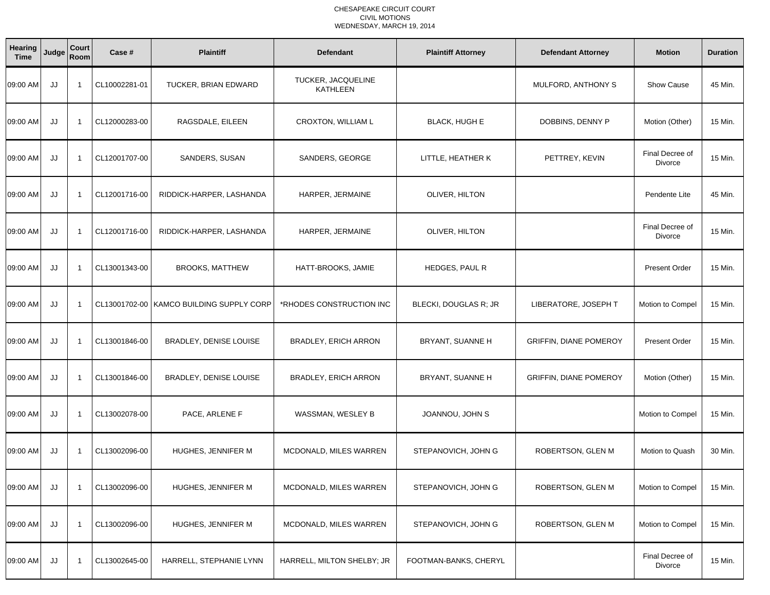| Hearing<br><b>Time</b> | Judge | Court<br>Room  | Case #        | <b>Plaintiff</b>                         | <b>Defendant</b>                      | <b>Plaintiff Attorney</b> | <b>Defendant Attorney</b>     | <b>Motion</b>              | <b>Duration</b> |
|------------------------|-------|----------------|---------------|------------------------------------------|---------------------------------------|---------------------------|-------------------------------|----------------------------|-----------------|
| 09:00 AM               | JJ    | $\overline{1}$ | CL10002281-01 | TUCKER, BRIAN EDWARD                     | TUCKER, JACQUELINE<br><b>KATHLEEN</b> |                           | MULFORD, ANTHONY S            | <b>Show Cause</b>          | 45 Min.         |
| 09:00 AM               | JJ    | $\overline{1}$ | CL12000283-00 | RAGSDALE, EILEEN                         | CROXTON, WILLIAM L                    | <b>BLACK, HUGH E</b>      | DOBBINS, DENNY P              | Motion (Other)             | 15 Min.         |
| 09:00 AM               | JJ    | $\overline{1}$ | CL12001707-00 | SANDERS, SUSAN                           | SANDERS, GEORGE                       | LITTLE, HEATHER K         | PETTREY, KEVIN                | Final Decree of<br>Divorce | 15 Min.         |
| 09:00 AM               | JJ    | $\overline{1}$ | CL12001716-00 | RIDDICK-HARPER, LASHANDA                 | HARPER, JERMAINE                      | OLIVER, HILTON            |                               | Pendente Lite              | 45 Min.         |
| 09:00 AM               | JJ    | $\overline{1}$ | CL12001716-00 | RIDDICK-HARPER, LASHANDA                 | HARPER, JERMAINE                      | OLIVER, HILTON            |                               | Final Decree of<br>Divorce | 15 Min.         |
| 09:00 AM               | JJ    | $\overline{1}$ | CL13001343-00 | <b>BROOKS, MATTHEW</b>                   | HATT-BROOKS, JAMIE                    | HEDGES, PAUL R            |                               | <b>Present Order</b>       | 15 Min.         |
| 09:00 AM               | JJ    | $\overline{1}$ |               | CL13001702-00 KAMCO BUILDING SUPPLY CORP | *RHODES CONSTRUCTION INC              | BLECKI, DOUGLAS R; JR     | LIBERATORE, JOSEPH T          | Motion to Compel           | 15 Min.         |
| 09:00 AM               | JJ    | - 1            | CL13001846-00 | BRADLEY, DENISE LOUISE                   | BRADLEY, ERICH ARRON                  | BRYANT, SUANNE H          | <b>GRIFFIN, DIANE POMEROY</b> | <b>Present Order</b>       | 15 Min.         |
| 09:00 AM               | JJ    | $\overline{1}$ | CL13001846-00 | BRADLEY, DENISE LOUISE                   | BRADLEY, ERICH ARRON                  | BRYANT, SUANNE H          | GRIFFIN, DIANE POMEROY        | Motion (Other)             | 15 Min.         |
| 09:00 AM               | JJ    | $\overline{1}$ | CL13002078-00 | PACE, ARLENE F                           | WASSMAN, WESLEY B                     | JOANNOU, JOHN S           |                               | Motion to Compel           | 15 Min.         |
| 09:00 AM               | JJ    | $\overline{1}$ | CL13002096-00 | HUGHES, JENNIFER M                       | MCDONALD, MILES WARREN                | STEPANOVICH, JOHN G       | ROBERTSON, GLEN M             | Motion to Quash            | 30 Min.         |
| 09:00 AM               | JJ    | $\overline{1}$ | CL13002096-00 | HUGHES, JENNIFER M                       | MCDONALD, MILES WARREN                | STEPANOVICH, JOHN G       | ROBERTSON, GLEN M             | Motion to Compel           | 15 Min.         |
| 09:00 AM               | JJ    | $\overline{1}$ | CL13002096-00 | HUGHES, JENNIFER M                       | MCDONALD, MILES WARREN                | STEPANOVICH, JOHN G       | ROBERTSON, GLEN M             | Motion to Compel           | 15 Min.         |
| 09:00 AM               | JJ    | $\overline{1}$ | CL13002645-00 | HARRELL, STEPHANIE LYNN                  | HARRELL, MILTON SHELBY; JR            | FOOTMAN-BANKS, CHERYL     |                               | Final Decree of<br>Divorce | 15 Min.         |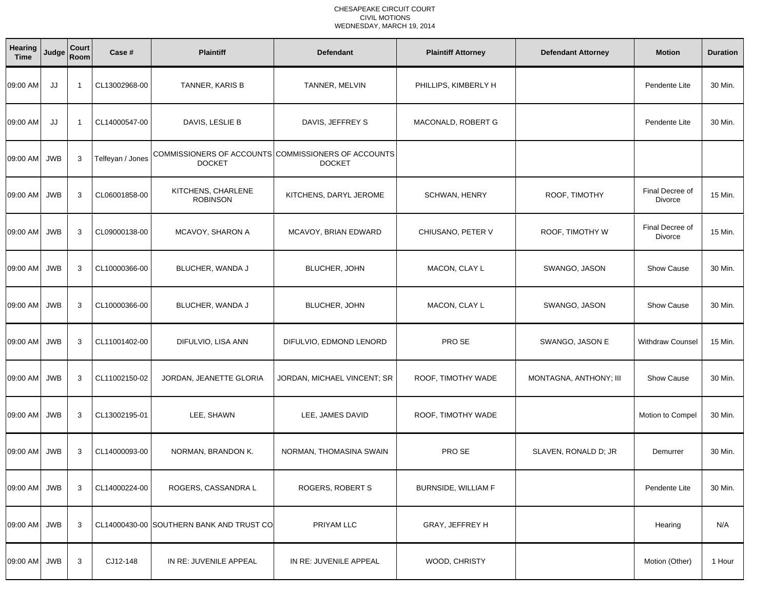| Hearing<br><b>Time</b> | Judge      | Court<br>Room | Case #           | <b>Plaintiff</b>                         | <b>Defendant</b>                                                     | <b>Plaintiff Attorney</b>  | <b>Defendant Attorney</b> | <b>Motion</b>              | <b>Duration</b> |
|------------------------|------------|---------------|------------------|------------------------------------------|----------------------------------------------------------------------|----------------------------|---------------------------|----------------------------|-----------------|
| 09:00 AM               | JJ         | - 1           | CL13002968-00    | TANNER, KARIS B                          | TANNER, MELVIN                                                       | PHILLIPS, KIMBERLY H       |                           | Pendente Lite              | 30 Min.         |
| 09:00 AM               | JJ         | -1            | CL14000547-00    | DAVIS, LESLIE B                          | DAVIS, JEFFREY S                                                     | MACONALD, ROBERT G         |                           | Pendente Lite              | 30 Min.         |
| 09:00 AM JWB           |            | 3             | Telfeyan / Jones | <b>DOCKET</b>                            | COMMISSIONERS OF ACCOUNTS COMMISSIONERS OF ACCOUNTS<br><b>DOCKET</b> |                            |                           |                            |                 |
| 09:00 AM JWB           |            | 3             | CL06001858-00    | KITCHENS, CHARLENE<br><b>ROBINSON</b>    | KITCHENS, DARYL JEROME                                               | <b>SCHWAN, HENRY</b>       | ROOF, TIMOTHY             | Final Decree of<br>Divorce | 15 Min.         |
| 09:00 AM               | <b>JWB</b> | 3             | CL09000138-00    | MCAVOY, SHARON A                         | MCAVOY, BRIAN EDWARD                                                 | CHIUSANO, PETER V          | ROOF, TIMOTHY W           | Final Decree of<br>Divorce | 15 Min.         |
| 09:00 AM               | <b>JWB</b> | 3             | CL10000366-00    | BLUCHER, WANDA J                         | BLUCHER, JOHN                                                        | MACON, CLAY L              | SWANGO, JASON             | <b>Show Cause</b>          | 30 Min.         |
| 09:00 AM JWB           |            | 3             | CL10000366-00    | BLUCHER, WANDA J                         | BLUCHER, JOHN                                                        | MACON, CLAY L              | SWANGO, JASON             | <b>Show Cause</b>          | 30 Min.         |
| 09:00 AM JWB           |            | 3             | CL11001402-00    | DIFULVIO, LISA ANN                       | DIFULVIO, EDMOND LENORD                                              | PRO SE                     | SWANGO, JASON E           | <b>Withdraw Counsel</b>    | 15 Min.         |
| 09:00 AM               | <b>JWB</b> | 3             | CL11002150-02    | JORDAN, JEANETTE GLORIA                  | JORDAN, MICHAEL VINCENT; SR                                          | ROOF, TIMOTHY WADE         | MONTAGNA, ANTHONY; III    | <b>Show Cause</b>          | 30 Min.         |
| 09:00 AM JWB           |            | 3             | CL13002195-01    | LEE, SHAWN                               | LEE, JAMES DAVID                                                     | ROOF, TIMOTHY WADE         |                           | Motion to Compel           | 30 Min.         |
| 09:00 AM JWB           |            | 3             | CL14000093-00    | NORMAN, BRANDON K.                       | NORMAN, THOMASINA SWAIN                                              | PRO SE                     | SLAVEN, RONALD D; JR      | Demurrer                   | 30 Min.         |
| 09:00 AM JWB           |            | 3             | CL14000224-00    | ROGERS, CASSANDRA L                      | <b>ROGERS, ROBERT S</b>                                              | <b>BURNSIDE, WILLIAM F</b> |                           | Pendente Lite              | 30 Min.         |
| 09:00 AM JWB           |            | 3             |                  | CL14000430-00 SOUTHERN BANK AND TRUST CO | PRIYAM LLC                                                           | GRAY, JEFFREY H            |                           | Hearing                    | N/A             |
| 09:00 AM JWB           |            | 3             | CJ12-148         | IN RE: JUVENILE APPEAL                   | IN RE: JUVENILE APPEAL                                               | WOOD, CHRISTY              |                           | Motion (Other)             | 1 Hour          |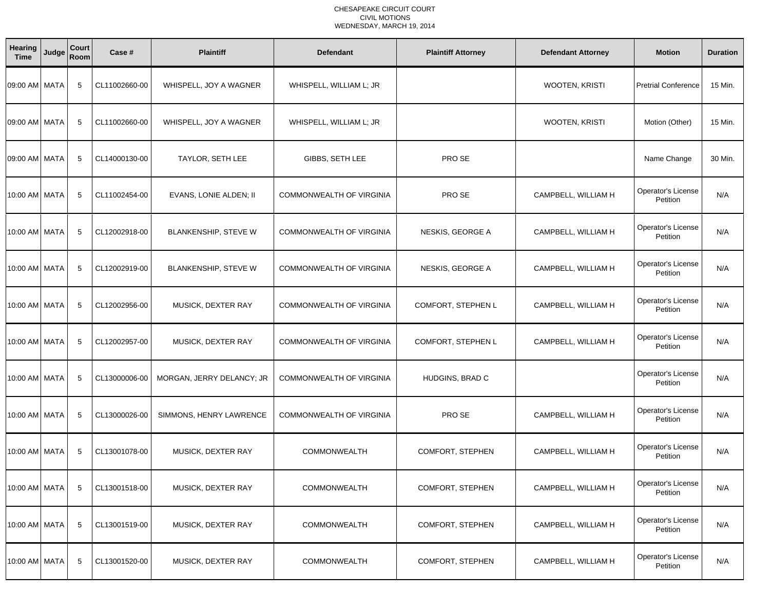| Hearing<br><b>Time</b> | Judge | Court<br>Room | Case #        | <b>Plaintiff</b>          | <b>Defendant</b>                | <b>Plaintiff Attorney</b> | <b>Defendant Attorney</b> | <b>Motion</b>                  | <b>Duration</b> |
|------------------------|-------|---------------|---------------|---------------------------|---------------------------------|---------------------------|---------------------------|--------------------------------|-----------------|
| 09:00 AM MATA          |       | 5             | CL11002660-00 | WHISPELL, JOY A WAGNER    | WHISPELL, WILLIAM L; JR         |                           | WOOTEN, KRISTI            | <b>Pretrial Conference</b>     | 15 Min.         |
| 09:00 AM MATA          |       | 5             | CL11002660-00 | WHISPELL, JOY A WAGNER    | WHISPELL, WILLIAM L; JR         |                           | WOOTEN, KRISTI            | Motion (Other)                 | 15 Min.         |
| 09:00 AM MATA          |       | 5             | CL14000130-00 | TAYLOR, SETH LEE          | GIBBS, SETH LEE                 | PRO SE                    |                           | Name Change                    | 30 Min.         |
| 10:00 AM   MATA        |       | 5             | CL11002454-00 | EVANS, LONIE ALDEN; II    | <b>COMMONWEALTH OF VIRGINIA</b> | PRO SE                    | CAMPBELL, WILLIAM H       | Operator's License<br>Petition | N/A             |
| 10:00 AM   MATA        |       | 5             | CL12002918-00 | BLANKENSHIP, STEVE W      | COMMONWEALTH OF VIRGINIA        | NESKIS, GEORGE A          | CAMPBELL, WILLIAM H       | Operator's License<br>Petition | N/A             |
| 10:00 AM   MATA        |       | 5             | CL12002919-00 | BLANKENSHIP, STEVE W      | COMMONWEALTH OF VIRGINIA        | NESKIS, GEORGE A          | CAMPBELL, WILLIAM H       | Operator's License<br>Petition | N/A             |
| 10:00 AM   MATA        |       | 5             | CL12002956-00 | MUSICK, DEXTER RAY        | COMMONWEALTH OF VIRGINIA        | COMFORT, STEPHEN L        | CAMPBELL, WILLIAM H       | Operator's License<br>Petition | N/A             |
| 10:00 AM   MATA        |       | 5             | CL12002957-00 | MUSICK, DEXTER RAY        | <b>COMMONWEALTH OF VIRGINIA</b> | COMFORT, STEPHEN L        | CAMPBELL, WILLIAM H       | Operator's License<br>Petition | N/A             |
| 10:00 AM   MATA        |       | 5             | CL13000006-00 | MORGAN, JERRY DELANCY; JR | COMMONWEALTH OF VIRGINIA        | HUDGINS, BRAD C           |                           | Operator's License<br>Petition | N/A             |
| 10:00 AM MATA          |       | 5             | CL13000026-00 | SIMMONS, HENRY LAWRENCE   | <b>COMMONWEALTH OF VIRGINIA</b> | PRO SE                    | CAMPBELL, WILLIAM H       | Operator's License<br>Petition | N/A             |
| 10:00 AM MATA          |       | 5             | CL13001078-00 | MUSICK, DEXTER RAY        | COMMONWEALTH                    | COMFORT, STEPHEN          | CAMPBELL, WILLIAM H       | Operator's License<br>Petition | N/A             |
| 10:00 AM MATA          |       | 5             | CL13001518-00 | MUSICK, DEXTER RAY        | COMMONWEALTH                    | COMFORT, STEPHEN          | CAMPBELL, WILLIAM H       | Operator's License<br>Petition | N/A             |
| 10:00 AM MATA          |       | 5             | CL13001519-00 | MUSICK, DEXTER RAY        | COMMONWEALTH                    | COMFORT, STEPHEN          | CAMPBELL, WILLIAM H       | Operator's License<br>Petition | N/A             |
| 10:00 AM MATA          |       | 5             | CL13001520-00 | MUSICK, DEXTER RAY        | COMMONWEALTH                    | COMFORT, STEPHEN          | CAMPBELL, WILLIAM H       | Operator's License<br>Petition | N/A             |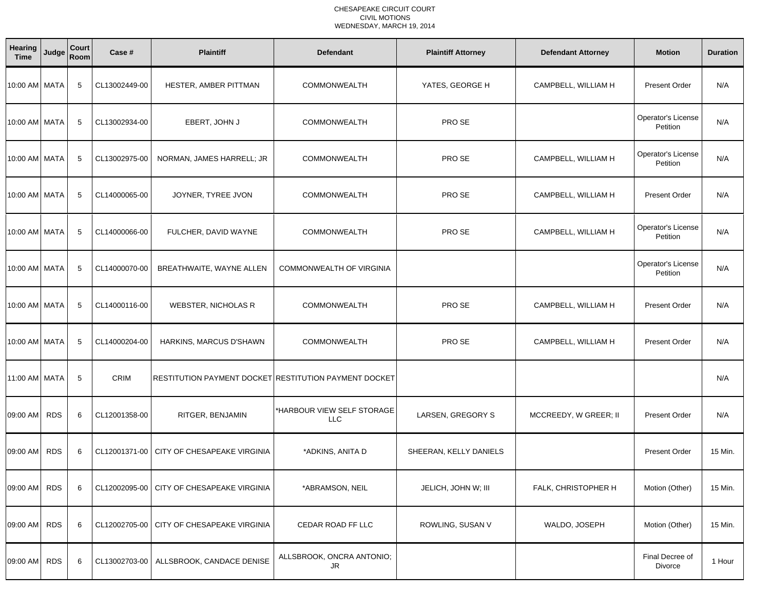| Hearing<br><b>Time</b> | Judge      | Court<br>Room | Case #        | <b>Plaintiff</b>                                      | <b>Defendant</b>                         | <b>Plaintiff Attorney</b> | <b>Defendant Attorney</b> | <b>Motion</b>                  | <b>Duration</b> |
|------------------------|------------|---------------|---------------|-------------------------------------------------------|------------------------------------------|---------------------------|---------------------------|--------------------------------|-----------------|
| 10:00 AM   MATA        |            | 5             | CL13002449-00 | HESTER, AMBER PITTMAN                                 | <b>COMMONWEALTH</b>                      | YATES, GEORGE H           | CAMPBELL, WILLIAM H       | <b>Present Order</b>           | N/A             |
| 10:00 AM   MATA        |            | 5             | CL13002934-00 | EBERT, JOHN J                                         | <b>COMMONWEALTH</b>                      | PRO SE                    |                           | Operator's License<br>Petition | N/A             |
| 10:00 AM   MATA        |            | 5             | CL13002975-00 | NORMAN, JAMES HARRELL; JR                             | <b>COMMONWEALTH</b>                      | PRO SE                    | CAMPBELL, WILLIAM H       | Operator's License<br>Petition | N/A             |
| 10:00 AM   MATA        |            | 5             | CL14000065-00 | JOYNER, TYREE JVON                                    | <b>COMMONWEALTH</b>                      | PRO SE                    | CAMPBELL, WILLIAM H       | <b>Present Order</b>           | N/A             |
| 10:00 AM MATA          |            | 5             | CL14000066-00 | FULCHER, DAVID WAYNE                                  | <b>COMMONWEALTH</b>                      | PRO SE                    | CAMPBELL, WILLIAM H       | Operator's License<br>Petition | N/A             |
| 10:00 AM MATA          |            | 5             | CL14000070-00 | BREATHWAITE, WAYNE ALLEN                              | COMMONWEALTH OF VIRGINIA                 |                           |                           | Operator's License<br>Petition | N/A             |
| 10:00 AM MATA          |            | -5            | CL14000116-00 | <b>WEBSTER, NICHOLAS R</b>                            | <b>COMMONWEALTH</b>                      | PRO SE                    | CAMPBELL, WILLIAM H       | <b>Present Order</b>           | N/A             |
| 10:00 AM MATA          |            | 5             | CL14000204-00 | HARKINS, MARCUS D'SHAWN                               | <b>COMMONWEALTH</b>                      | PRO SE                    | CAMPBELL, WILLIAM H       | <b>Present Order</b>           | N/A             |
| 11:00 AM MATA          |            | 5             | <b>CRIM</b>   | RESTITUTION PAYMENT DOCKET RESTITUTION PAYMENT DOCKET |                                          |                           |                           |                                | N/A             |
| 09:00 AM               | <b>RDS</b> | 6             | CL12001358-00 | RITGER, BENJAMIN                                      | *HARBOUR VIEW SELF STORAGE<br><b>LLC</b> | LARSEN, GREGORY S         | MCCREEDY, W GREER; II     | <b>Present Order</b>           | N/A             |
| 09:00 AM               | <b>RDS</b> | 6             | CL12001371-00 | CITY OF CHESAPEAKE VIRGINIA                           | *ADKINS, ANITA D                         | SHEERAN, KELLY DANIELS    |                           | <b>Present Order</b>           | 15 Min.         |
| 09:00 AM               | <b>RDS</b> | 6             |               | CL12002095-00   CITY OF CHESAPEAKE VIRGINIA           | *ABRAMSON, NEIL                          | JELICH, JOHN W; III       | FALK, CHRISTOPHER H       | Motion (Other)                 | 15 Min.         |
| 09:00 AM               | <b>RDS</b> | 6             | CL12002705-00 | CITY OF CHESAPEAKE VIRGINIA                           | CEDAR ROAD FF LLC                        | ROWLING, SUSAN V          | WALDO, JOSEPH             | Motion (Other)                 | 15 Min.         |
| 09:00 AM               | <b>RDS</b> | 6             | CL13002703-00 | ALLSBROOK, CANDACE DENISE                             | ALLSBROOK, ONCRA ANTONIO;<br><b>JR</b>   |                           |                           | Final Decree of<br>Divorce     | 1 Hour          |